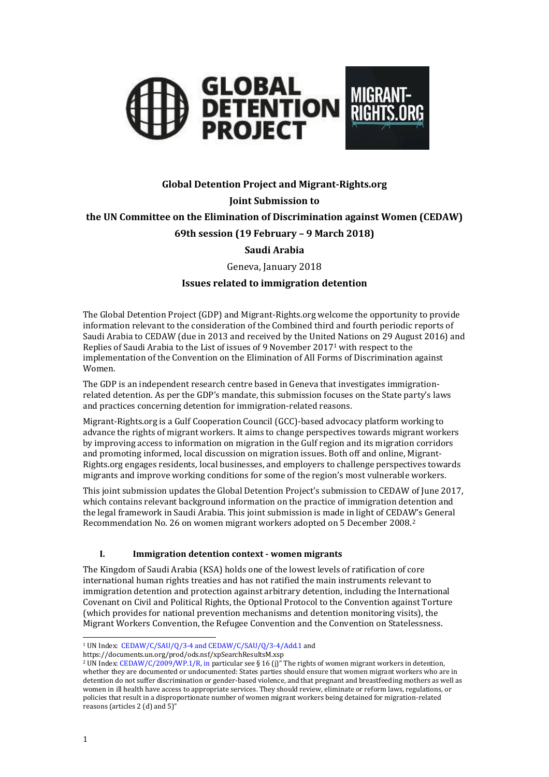

# **Global Detention Project and Migrant-Rights.org**

# **Joint Submission to**

**the UN Committee on the Elimination of Discrimination against Women (CEDAW)**

### **69th session (19 February – 9 March 2018)**

# **Saudi Arabia**

Geneva, January 2018

### **Issues related to immigration detention**

The Global Detention Project (GDP) and Migrant-Rights.org welcome the opportunity to provide information relevant to the consideration of the Combined third and fourth periodic reports of Saudi Arabia to CEDAW (due in 2013 and received by the United Nations on 29 August 2016) and Replies of Saudi Arabia to the List of issues of 9 November 2017<sup>1</sup> with respect to the implementation of the Convention on the Elimination of All Forms of Discrimination against Women.

The GDP is an independent research centre based in Geneva that investigates immigrationrelated detention. As per the GDP's mandate, this submission focuses on the State party's laws and practices concerning detention for immigration-related reasons.

Migrant-Rights.org is a Gulf Cooperation Council (GCC)-based advocacy platform working to advance the rights of migrant workers. It aims to change perspectives towards migrant workers by improving access to information on migration in the Gulf region and its migration corridors and promoting informed, local discussion on migration issues. Both off and online, Migrant-Rights.org engages residents, local businesses, and employers to challenge perspectives towards migrants and improve working conditions for some of the region's most vulnerable workers.

This joint submission updates the Global Detention Project's submission to CEDAW of June 2017, which contains relevant background information on the practice of immigration detention and the legal framework in Saudi Arabia. This joint submission is made in light of CEDAW's General Recommendation No. 26 on women migrant workers adopted on 5 December 2008.<sup>2</sup>

#### **I. Immigration detention context - women migrants**

The Kingdom of Saudi Arabia (KSA) holds one of the lowest levels of ratification of core international human rights treaties and has not ratified the main instruments relevant to immigration detention and protection against arbitrary detention, including the International Covenant on Civil and Political Rights, the Optional Protocol to the Convention against Torture (which provides for national prevention mechanisms and detention monitoring visits), the Migrant Workers Convention, the Refugee Convention and the Convention on Statelessness.

https://documents.un.org/prod/ods.nsf/xpSearchResultsM.xsp

j <sup>1</sup> UN Index: [CEDAW/C/SAU/Q/3-4 and CEDAW/C/SAU/Q/3-4/Add.1](http://tbinternet.ohchr.org/_layouts/treatybodyexternal/SessionDetails1.aspx?SessionID=1157&Lang=en) and

<sup>2</sup> UN Index[: CEDAW/C/2009/WP.1/R, in](http://tbinternet.ohchr.org/_layouts/treatybodyexternal/Download.aspx?symbolno=CEDAW/C/2009/WP.1/R&Lang=en) particular see § 16 (j)" The rights of women migrant workers in detention, whether they are documented or undocumented: States parties should ensure that women migrant workers who are in detention do not suffer discrimination or gender-based violence, and that pregnant and breastfeeding mothers as well as women in ill health have access to appropriate services. They should review, eliminate or reform laws, regulations, or policies that result in a disproportionate number of women migrant workers being detained for migration-related reasons (articles 2 (d) and 5)"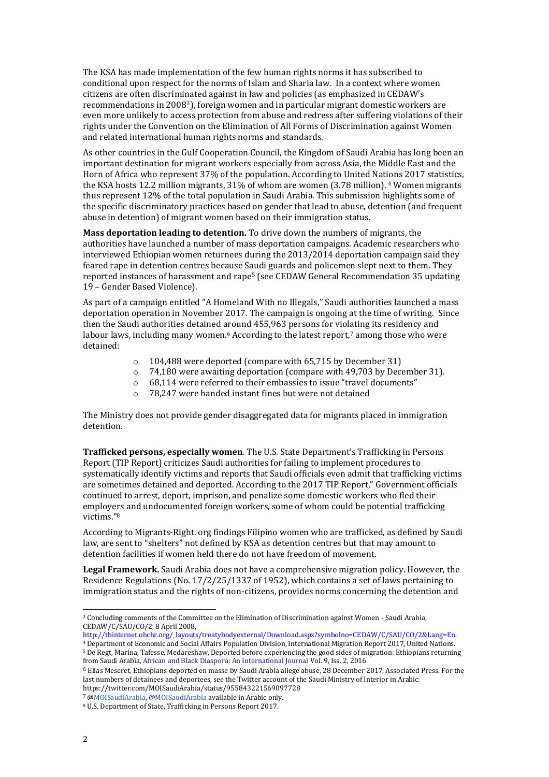The KSA has made implementation of the few human rights norms it has subscribed to conditional upon respect for the norms of Islam and Sharia law. In a context where women citizens are often discriminated against in law and policies (as emphasized in CEDAW's recommendations in 20083), foreign women and in particular migrant domestic workers are even more unlikely to access protection from abuse and redress after suffering violations of their rights under the Convention on the Elimination of All Forms of Discrimination against Women and related international human rights norms and standards.

As other countries in the Gulf Cooperation Council, the Kingdom of Saudi Arabia has long been an important destination for migrant workers especially from across Asia, the Middle East and the Horn of Africa who represent 37% of the population. According to United Nations 2017 statistics, the KSA hosts 12.2 million migrants, 31% of whom are women (3.78 million). <sup>4</sup> Women migrants thus represent 12% of the total population in Saudi Arabia. This submission highlights some of the specific discriminatory practices based on gender that lead to abuse, detention (and frequent abuse in detention) of migrant women based on their immigration status.

**Mass deportation leading to detention.** To drive down the numbers of migrants, the authorities have launched a number of mass deportation campaigns. Academic researchers who interviewed Ethiopian women returnees during the 2013/2014 deportation campaign said they feared rape in detention centres because Saudi guards and policemen slept next to them. They reported instances of harassment and rape<sup>5</sup> (see CEDAW General Recommendation 35 updating 19 – Gender Based Violence).

As part of a campaign entitled "A Homeland With no Illegals," Saudi authorities launched a mass deportation operation in November 2017. The campaign is ongoing at the time of writing. Since then the Saudi authorities detained around 455,963 persons for violating its residency and labour laws, including many women.<sup>6</sup> According to the latest report,<sup>7</sup> among those who were detained:

- o 104,488 were deported (compare with 65,715 by December 31)
- o 74,180 were awaiting deportation (compare with 49,703 by December 31).
- o 68,114 were referred to their embassies to issue "travel documents"
- o 78,247 were handed instant fines but were not detained

The Ministry does not provide gender disaggregated data for migrants placed in immigration detention.

**Trafficked persons, especially women**. The U.S. State Department's Trafficking in Persons Report (TIP Report) criticizes Saudi authorities for failing to implement procedures to systematically identify victims and reports that Saudi officials even admit that trafficking victims are sometimes detained and deported. According to the 2017 TIP Report," Government officials continued to arrest, deport, imprison, and penalize some domestic workers who fled their employers and undocumented foreign workers, some of whom could be potential trafficking victims."<sup>8</sup>

According to Migrants-Right. org findings Filipino women who are trafficked, as defined by Saudi law, are sent to "shelters" not defined by KSA as detention centres but that may amount to detention facilities if women held there do not have freedom of movement.

**Legal Framework.** Saudi Arabia does not have a comprehensive migration policy. However, the Residence Regulations (No. 17/2/25/1337 of 1952), which contains a set of laws pertaining to immigration status and the rights of non-citizens, provides norms concerning the detention and

[http://tbinternet.ohchr.org/\\_layouts/treatybodyexternal/Download.aspx?symbolno=CEDAW/C/SAU/CO/2&Lang=En.](http://tbinternet.ohchr.org/_layouts/treatybodyexternal/Download.aspx?symbolno=CEDAW/C/SAU/CO/2&Lang=En)  <sup>4</sup> Department of Economic and Social Affairs Population Division, International Migration Report 2017, United Nations.

7 [@MOISaudiArabia,](https://twitter.com/MOISaudiArabia/status/952971935293599744) [@MOISaudiArabia](https://twitter.com/MOISaudiArabia/status/947487463605440512) available in Arabic only.

<sup>3</sup> Concluding comments of the Committee on the Elimination of Discrimination against Women - Saudi Arabia, CEDAW/C/SAU/CO/2, 8 April 2008,

<sup>5</sup> De Regt, Marina, Tafesse, Medareshaw, Deported before experiencing the good sides of migration: Ethiopians returning from Saudi Arabia[, African and Black Diaspora: An International Journal V](http://www.tandfonline.com/toc/rabd20/9/2)ol. 9, Iss. 2, 2016

<sup>6</sup> Elias Meseret, Ethiopians deported en masse by Saudi Arabia allege abuse, 28 December 2017, Associated Press. For the last numbers of detainees and deportees, see the Twitter account of the Saudi Ministry of Interior in Arabic: https://twitter.com/MOISaudiArabia/status/955843221569097728

<sup>8</sup> U.S. Department of State, Trafficking in Persons Report 2017.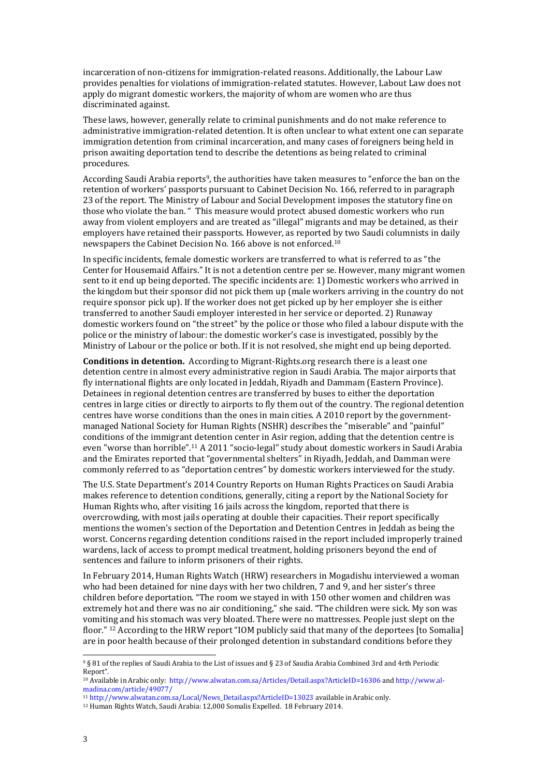incarceration of non-citizens for immigration-related reasons. Additionally, the Labour Law provides penalties for violations of immigration-related statutes. However, Labout Law does not apply do migrant domestic workers, the majority of whom are women who are thus discriminated against.

These laws, however, generally relate to criminal punishments and do not make reference to administrative immigration-related detention. It is often unclear to what extent one can separate immigration detention from criminal incarceration, and many cases of foreigners being held in prison awaiting deportation tend to describe the detentions as being related to criminal procedures.

According Saudi Arabia reports9, the authorities have taken measures to "enforce the ban on the retention of workers' passports pursuant to Cabinet Decision No. 166, referred to in paragraph 23 of the report. The Ministry of Labour and Social Development imposes the statutory fine on those who violate the ban. " This measure would protect abused domestic workers who run away from violent employers and are treated as "illegal" migrants and may be detained, as their employers have retained their passports. However, as reported by two Saudi columnists in daily newspapers the Cabinet Decision No. 166 above is not enforced.<sup>10</sup>

In specific incidents, female domestic workers are transferred to what is referred to as "the Center for Housemaid Affairs." It is not a detention centre per se. However, many migrant women sent to it end up being deported. The specific incidents are: 1) Domestic workers who arrived in the kingdom but their sponsor did not pick them up (male workers arriving in the country do not require sponsor pick up). If the worker does not get picked up by her employer she is either transferred to another Saudi employer interested in her service or deported. 2) Runaway domestic workers found on "the street" by the police or those who filed a labour dispute with the police or the ministry of labour: the domestic worker's case is investigated, possibly by the Ministry of Labour or the police or both. If it is not resolved, she might end up being deported.

**Conditions in detention.** According to Migrant-Rights.org research there is a least one detention centre in almost every administrative region in Saudi Arabia. The major airports that fly international flights are only located in Jeddah, Riyadh and Dammam (Eastern Province). Detainees in regional detention centres are transferred by buses to either the deportation centres in large cities or directly to airports to fly them out of the country. The regional detention centres have worse conditions than the ones in main cities. A 2010 report by the governmentmanaged National Society for Human Rights (NSHR) describes the "miserable" and "painful" conditions of the immigrant detention center in Asir region, adding that the detention centre is even "worse than horrible".<sup>11</sup> A 2011 "socio-legal" study about domestic workers in Saudi Arabia and the Emirates reported that "governmental shelters" in Riyadh, Jeddah, and Damman were commonly referred to as "deportation centres" by domestic workers interviewed for the study.

The U.S. State Department's 2014 Country Reports on Human Rights Practices on Saudi Arabia makes reference to detention conditions, generally, citing a report by the National Society for Human Rights who, after visiting 16 jails across the kingdom, reported that there is overcrowding, with most jails operating at double their capacities. Their report specifically mentions the women's section of the Deportation and Detention Centres in Jeddah as being the worst. Concerns regarding detention conditions raised in the report included improperly trained wardens, lack of access to prompt medical treatment, holding prisoners beyond the end of sentences and failure to inform prisoners of their rights.

In February 2014, Human Rights Watch (HRW) researchers in Mogadishu interviewed a woman who had been detained for nine days with her two children, 7 and 9, and her sister's three children before deportation. "The room we stayed in with 150 other women and children was extremely hot and there was no air conditioning," she said. "The children were sick. My son was vomiting and his stomach was very bloated. There were no mattresses. People just slept on the floor." <sup>12</sup> According to the HRW report "IOM publicly said that many of the deportees [to Somalia] are in poor health because of their prolonged detention in substandard conditions before they

<sup>9</sup> § 81 of the replies of Saudi Arabia to the List of issues and § 23 of Saudia Arabia Combined 3rd and 4rth Periodic Report".

<sup>10</sup> Available in Arabic only:<http://www.alwatan.com.sa/Articles/Detail.aspx?ArticleID=16306> an[d http://www.al](http://www.al-madina.com/article/49077/)[madina.com/article/49077/](http://www.al-madina.com/article/49077/)

<sup>11</sup> [http://www.alwatan.com.sa/Local/News\\_Detail.aspx?ArticleID=13023](http://www.alwatan.com.sa/Local/News_Detail.aspx?ArticleID=13023) available in Arabic only.

<sup>12</sup> Human Rights Watch, Saudi Arabia: 12,000 Somalis Expelled. 18 February 2014.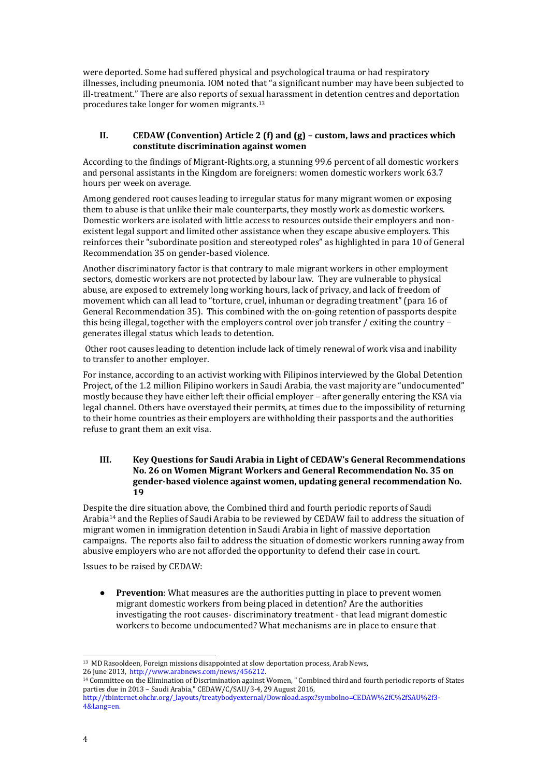were deported. Some had suffered physical and psychological trauma or had respiratory illnesses, including pneumonia. IOM noted that "a significant number may have been subjected to ill-treatment." There are also reports of sexual harassment in detention centres and deportation procedures take longer for women migrants.<sup>13</sup>

### **II. CEDAW (Convention) Article 2 (f) and (g) – custom, laws and practices which constitute discrimination against women**

According to the findings of Migrant-Rights.org, a stunning 99.6 percent of all domestic workers and personal assistants in the Kingdom are foreigners: women domestic workers work 63.7 hours per week on average.

Among gendered root causes leading to irregular status for many migrant women or exposing them to abuse is that unlike their male counterparts, they mostly work as domestic workers. Domestic workers are isolated with little access to resources outside their employers and nonexistent legal support and limited other assistance when they escape abusive employers. This reinforces their "subordinate position and stereotyped roles" as highlighted in para 10 of General Recommendation 35 on gender-based violence.

Another discriminatory factor is that contrary to male migrant workers in other employment sectors, domestic workers are not protected by labour law. They are vulnerable to physical abuse, are exposed to extremely long working hours, lack of privacy, and lack of freedom of movement which can all lead to "torture, cruel, inhuman or degrading treatment" (para 16 of General Recommendation 35). This combined with the on-going retention of passports despite this being illegal, together with the employers control over job transfer / exiting the country – generates illegal status which leads to detention.

Other root causes leading to detention include lack of timely renewal of work visa and inability to transfer to another employer.

For instance, according to an activist working with Filipinos interviewed by the Global Detention Project, of the 1.2 million Filipino workers in Saudi Arabia, the vast majority are "undocumented" mostly because they have either left their official employer – after generally entering the KSA via legal channel. Others have overstayed their permits, at times due to the impossibility of returning to their home countries as their employers are withholding their passports and the authorities refuse to grant them an exit visa.

### **III. Key Questions for Saudi Arabia in Light of CEDAW's General Recommendations No. 26 on Women Migrant Workers and General Recommendation No. 35 on gender-based violence against women, updating general recommendation No. 19**

Despite the dire situation above, the Combined third and fourth periodic reports of Saudi Arabia<sup>14</sup> and the Replies of Saudi Arabia to be reviewed by CEDAW fail to address the situation of migrant women in immigration detention in Saudi Arabia in light of massive deportation campaigns. The reports also fail to address the situation of domestic workers running away from abusive employers who are not afforded the opportunity to defend their case in court.

Issues to be raised by CEDAW:

● **Prevention**: What measures are the authorities putting in place to prevent women migrant domestic workers from being placed in detention? Are the authorities investigating the root causes- discriminatory treatment - that lead migrant domestic workers to become undocumented? What mechanisms are in place to ensure that

<sup>&</sup>lt;sup>13</sup> MD Rasooldeen, Foreign missions disappointed at slow deportation process, Arab News, 26 June 2013, [http://www.arabnews.com/news/456212.](http://www.arabnews.com/news/456212)

<sup>14</sup> Committee on the Elimination of Discrimination against Women, " Combined third and fourth periodic reports of States parties due in 2013 – Saudi Arabia," CEDAW/C/SAU/3-4, 29 August 2016,

[http://tbinternet.ohchr.org/\\_layouts/treatybodyexternal/Download.aspx?symbolno=CEDAW%2fC%2fSAU%2f3-](http://tbinternet.ohchr.org/_layouts/treatybodyexternal/Download.aspx?symbolno=CEDAW%2fC%2fSAU%2f3-4&Lang=en) [4&Lang=en.](http://tbinternet.ohchr.org/_layouts/treatybodyexternal/Download.aspx?symbolno=CEDAW%2fC%2fSAU%2f3-4&Lang=en)